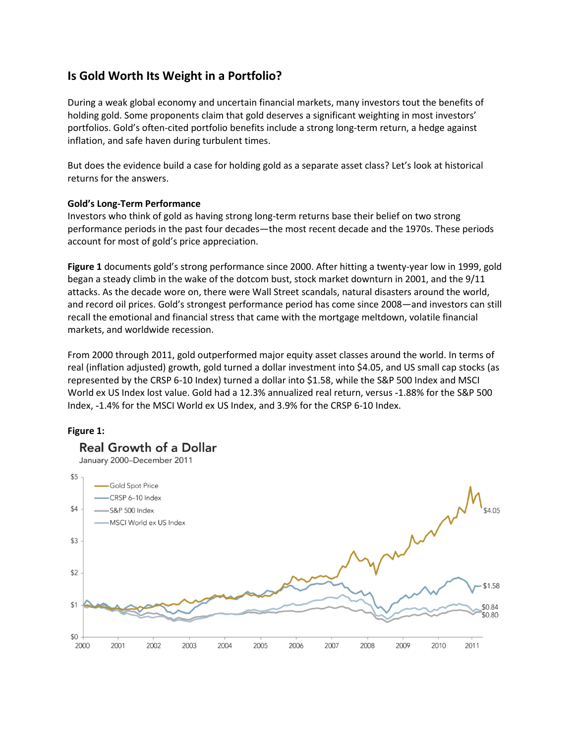# **Is Gold Worth Its Weight in a Portfolio?**

During a weak global economy and uncertain financial markets, many investors tout the benefits of holding gold. Some proponents claim that gold deserves a significant weighting in most investors' portfolios. Gold's often-cited portfolio benefits include a strong long-term return, a hedge against inflation, and safe haven during turbulent times.

But does the evidence build a case for holding gold as a separate asset class? Let's look at historical returns for the answers.

## **Gold's Long-Term Performance**

Investors who think of gold as having strong long-term returns base their belief on two strong performance periods in the past four decades—the most recent decade and the 1970s. These periods account for most of gold's price appreciation.

**Figure 1** documents gold's strong performance since 2000. After hitting a twenty-year low in 1999, gold began a steady climb in the wake of the dotcom bust, stock market downturn in 2001, and the 9/11 attacks. As the decade wore on, there were Wall Street scandals, natural disasters around the world, and record oil prices. Gold's strongest performance period has come since 2008—and investors can still recall the emotional and financial stress that came with the mortgage meltdown, volatile financial markets, and worldwide recession.

From 2000 through 2011, gold outperformed major equity asset classes around the world. In terms of real (inflation adjusted) growth, gold turned a dollar investment into \$4.05, and US small cap stocks (as represented by the CRSP 6-10 Index) turned a dollar into \$1.58, while the S&P 500 Index and MSCI World ex US Index lost value. Gold had a 12.3% annualized real return, versus -1.88% for the S&P 500 Index, -1.4% for the MSCI World ex US Index, and 3.9% for the CRSP 6-10 Index.

## **Figure 1:**

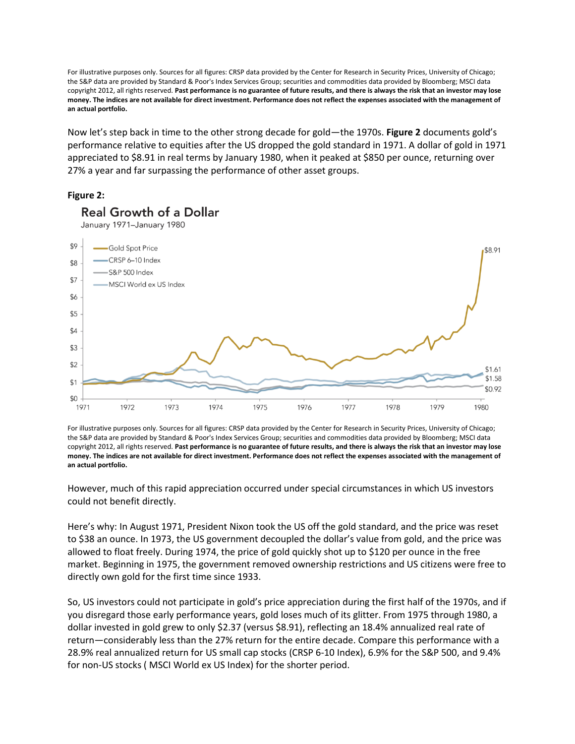For illustrative purposes only. Sources for all figures: CRSP data provided by the Center for Research in Security Prices, University of Chicago; the S&P data are provided by Standard & Poor's Index Services Group; securities and commodities data provided by Bloomberg; MSCI data copyright 2012, all rights reserved. **Past performance is no guarantee of future results, and there is always the risk that an investor may lose money. The indices are not available for direct investment. Performance does not reflect the expenses associated with the management of an actual portfolio.** 

Now let's step back in time to the other strong decade for gold—the 1970s. **Figure 2** documents gold's performance relative to equities after the US dropped the gold standard in 1971. A dollar of gold in 1971 appreciated to \$8.91 in real terms by January 1980, when it peaked at \$850 per ounce, returning over 27% a year and far surpassing the performance of other asset groups.

## **Figure 2:**



January 1971-January 1980

**Real Growth of a Dollar** 

For illustrative purposes only. Sources for all figures: CRSP data provided by the Center for Research in Security Prices, University of Chicago; the S&P data are provided by Standard & Poor's Index Services Group; securities and commodities data provided by Bloomberg; MSCI data copyright 2012, all rights reserved. **Past performance is no guarantee of future results, and there is always the risk that an investor may lose money. The indices are not available for direct investment. Performance does not reflect the expenses associated with the management of an actual portfolio.**

However, much of this rapid appreciation occurred under special circumstances in which US investors could not benefit directly.

Here's why: In August 1971, President Nixon took the US off the gold standard, and the price was reset to \$38 an ounce. In 1973, the US government decoupled the dollar's value from gold, and the price was allowed to float freely. During 1974, the price of gold quickly shot up to \$120 per ounce in the free market. Beginning in 1975, the government removed ownership restrictions and US citizens were free to directly own gold for the first time since 1933.

So, US investors could not participate in gold's price appreciation during the first half of the 1970s, and if you disregard those early performance years, gold loses much of its glitter. From 1975 through 1980, a dollar invested in gold grew to only \$2.37 (versus \$8.91), reflecting an 18.4% annualized real rate of return—considerably less than the 27% return for the entire decade. Compare this performance with a 28.9% real annualized return for US small cap stocks (CRSP 6-10 Index), 6.9% for the S&P 500, and 9.4% for non-US stocks ( MSCI World ex US Index) for the shorter period.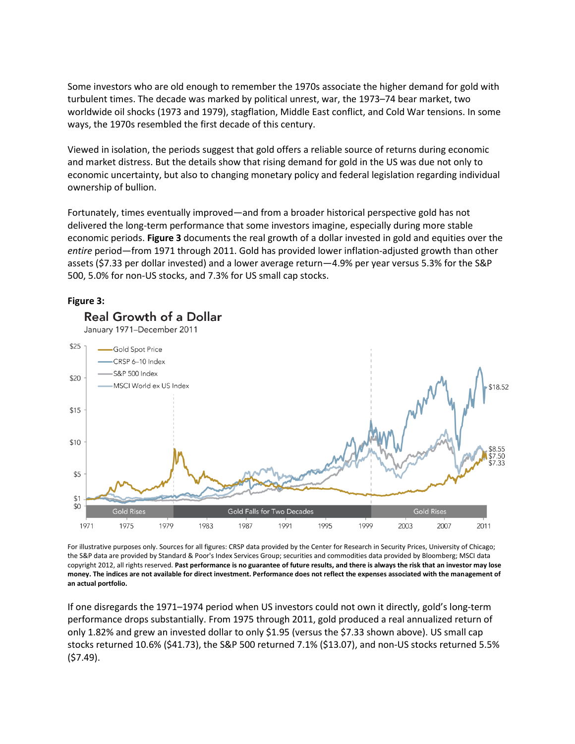Some investors who are old enough to remember the 1970s associate the higher demand for gold with turbulent times. The decade was marked by political unrest, war, the 1973–74 bear market, two worldwide oil shocks (1973 and 1979), stagflation, Middle East conflict, and Cold War tensions. In some ways, the 1970s resembled the first decade of this century.

Viewed in isolation, the periods suggest that gold offers a reliable source of returns during economic and market distress. But the details show that rising demand for gold in the US was due not only to economic uncertainty, but also to changing monetary policy and federal legislation regarding individual ownership of bullion.

Fortunately, times eventually improved—and from a broader historical perspective gold has not delivered the long-term performance that some investors imagine, especially during more stable economic periods. **Figure 3** documents the real growth of a dollar invested in gold and equities over the *entire* period—from 1971 through 2011. Gold has provided lower inflation-adjusted growth than other assets (\$7.33 per dollar invested) and a lower average return—4.9% per year versus 5.3% for the S&P 500, 5.0% for non-US stocks, and 7.3% for US small cap stocks.

#### **Figure 3:**



**Real Growth of a Dollar** 

January 1971-December 2011

For illustrative purposes only. Sources for all figures: CRSP data provided by the Center for Research in Security Prices, University of Chicago; the S&P data are provided by Standard & Poor's Index Services Group; securities and commodities data provided by Bloomberg; MSCI data copyright 2012, all rights reserved. **Past performance is no guarantee of future results, and there is always the risk that an investor may lose money. The indices are not available for direct investment. Performance does not reflect the expenses associated with the management of an actual portfolio.**

If one disregards the 1971–1974 period when US investors could not own it directly, gold's long-term performance drops substantially. From 1975 through 2011, gold produced a real annualized return of only 1.82% and grew an invested dollar to only \$1.95 (versus the \$7.33 shown above). US small cap stocks returned 10.6% (\$41.73), the S&P 500 returned 7.1% (\$13.07), and non-US stocks returned 5.5% (\$7.49).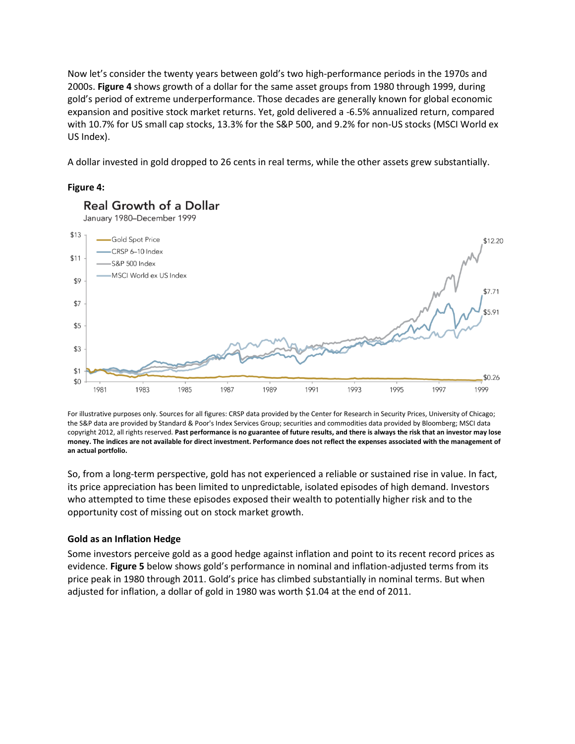Now let's consider the twenty years between gold's two high-performance periods in the 1970s and 2000s. **Figure 4** shows growth of a dollar for the same asset groups from 1980 through 1999, during gold's period of extreme underperformance. Those decades are generally known for global economic expansion and positive stock market returns. Yet, gold delivered a -6.5% annualized return, compared with 10.7% for US small cap stocks, 13.3% for the S&P 500, and 9.2% for non-US stocks (MSCI World ex US Index).

A dollar invested in gold dropped to 26 cents in real terms, while the other assets grew substantially.

## **Figure 4:**



**Real Growth of a Dollar** 

For illustrative purposes only. Sources for all figures: CRSP data provided by the Center for Research in Security Prices, University of Chicago; the S&P data are provided by Standard & Poor's Index Services Group; securities and commodities data provided by Bloomberg; MSCI data copyright 2012, all rights reserved. **Past performance is no guarantee of future results, and there is always the risk that an investor may lose money. The indices are not available for direct investment. Performance does not reflect the expenses associated with the management of an actual portfolio.**

So, from a long-term perspective, gold has not experienced a reliable or sustained rise in value. In fact, its price appreciation has been limited to unpredictable, isolated episodes of high demand. Investors who attempted to time these episodes exposed their wealth to potentially higher risk and to the opportunity cost of missing out on stock market growth.

## **Gold as an Inflation Hedge**

Some investors perceive gold as a good hedge against inflation and point to its recent record prices as evidence. **Figure 5** below shows gold's performance in nominal and inflation-adjusted terms from its price peak in 1980 through 2011. Gold's price has climbed substantially in nominal terms. But when adjusted for inflation, a dollar of gold in 1980 was worth \$1.04 at the end of 2011.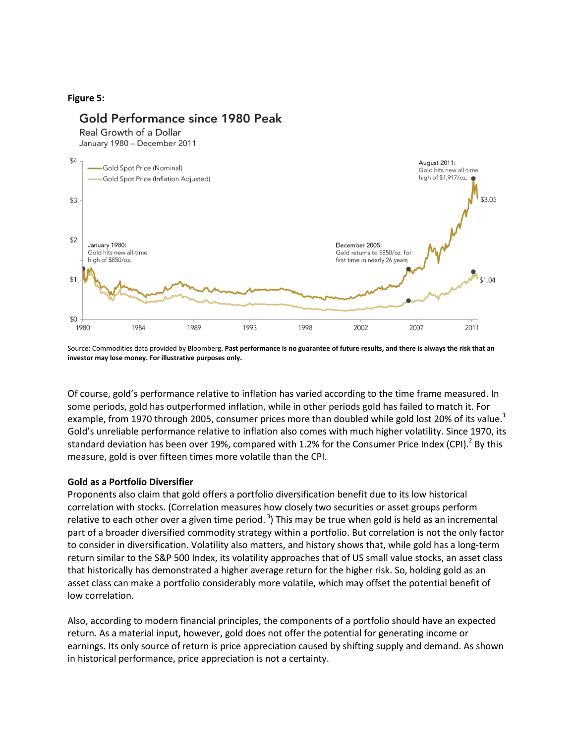### **Figure 5:**

## Gold Performance since 1980 Peak

Real Growth of a Dollar

January 1980 - December 2011



Source: Commodities data provided by Bloomberg. **Past performance is no guarantee of future results, and there is always the risk that an investor may lose money. For illustrative purposes only.**

Of course, gold's performance relative to inflation has varied according to the time frame measured. In some periods, gold has outperformed inflation, while in other periods gold has failed to match it. For example, from 1970 through 2005, consumer prices more than doubled while gold lost 20% of its value.<sup>1</sup> Gold's unreliable performance relative to inflation also comes with much higher volatility. Since 1970, its standard deviation has been over 19%, compared with 1.2% for the Consumer Price Index (CPI).<sup>2</sup> By this measure, gold is over fifteen times more volatile than the CPI.

#### **Gold as a Portfolio Diversifier**

Proponents also claim that gold offers a portfolio diversification benefit due to its low historical correlation with stocks. (Correlation measures how closely two securities or asset groups perform relative to each other over a given time period.<sup>3</sup>) This may be true when gold is held as an incremental part of a broader diversified commodity strategy within a portfolio. But correlation is not the only factor to consider in diversification. Volatility also matters, and history shows that, while gold has a long-term return similar to the S&P 500 Index, its volatility approaches that of US small value stocks, an asset class that historically has demonstrated a higher average return for the higher risk. So, holding gold as an asset class can make a portfolio considerably more volatile, which may offset the potential benefit of low correlation.

Also, according to modern financial principles, the components of a portfolio should have an expected return. As a material input, however, gold does not offer the potential for generating income or earnings. Its only source of return is price appreciation caused by shifting supply and demand. As shown in historical performance, price appreciation is not a certainty.